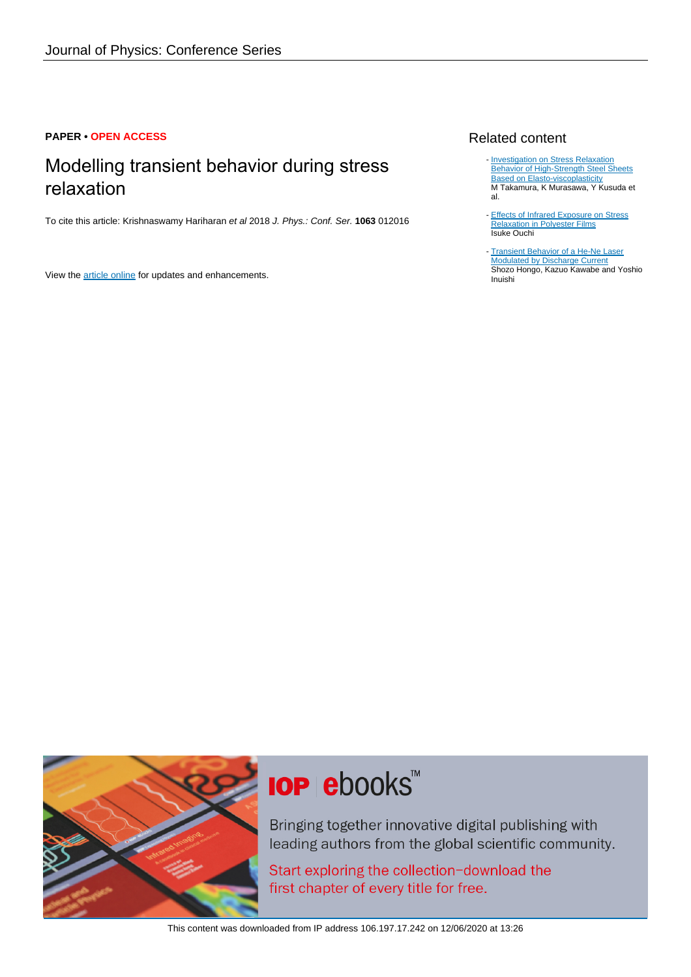### **PAPER • OPEN ACCESS**

# Modelling transient behavior during stress relaxation

To cite this article: Krishnaswamy Hariharan et al 2018 J. Phys.: Conf. Ser. **1063** 012016

View the [article online](https://doi.org/10.1088/1742-6596/1063/1/012016) for updates and enhancements.

## Related content

- [Investigation on Stress Relaxation](http://iopscience.iop.org/article/10.1088/1742-6596/1063/1/012123) **[Behavior of High-Strength Steel Sheets](http://iopscience.iop.org/article/10.1088/1742-6596/1063/1/012123) [Based on Elasto-viscoplasticity](http://iopscience.iop.org/article/10.1088/1742-6596/1063/1/012123)** M Takamura, K Murasawa, Y Kusuda et al.
- [Effects of Infrared Exposure on Stress](http://iopscience.iop.org/article/10.1143/JJAP.45.206) [Relaxation in Polyester Films](http://iopscience.iop.org/article/10.1143/JJAP.45.206) Isuke Ouchi -
- [Transient Behavior of a He-Ne Laser](http://iopscience.iop.org/article/10.1143/JJAP.7.549) [Modulated by Discharge Current](http://iopscience.iop.org/article/10.1143/JJAP.7.549) Shozo Hongo, Kazuo Kawabe and Yoshio Inuishi



# **IOP ebooks**™

Bringing together innovative digital publishing with leading authors from the global scientific community.

Start exploring the collection-download the first chapter of every title for free.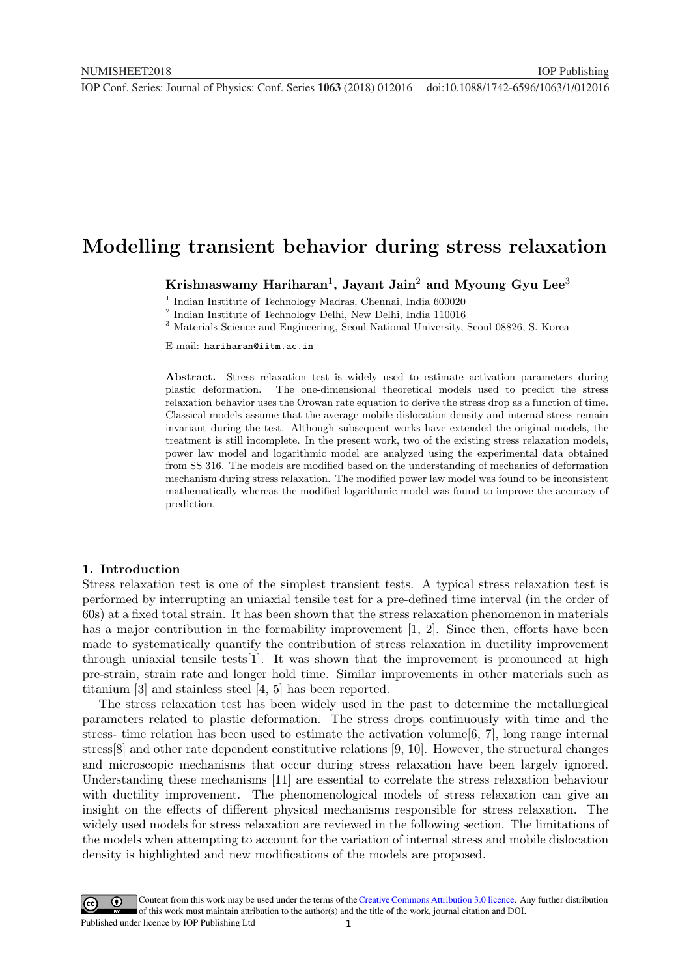## Modelling transient behavior during stress relaxation

Krishnaswamy Hariharan<sup>1</sup>, Jayant Jain<sup>2</sup> and Myoung Gyu Lee<sup>3</sup>

<sup>1</sup> Indian Institute of Technology Madras, Chennai, India 600020

2 Indian Institute of Technology Delhi, New Delhi, India 110016

<sup>3</sup> Materials Science and Engineering, Seoul National University, Seoul 08826, S. Korea

E-mail: hariharan@iitm.ac.in

Abstract. Stress relaxation test is widely used to estimate activation parameters during plastic deformation. The one-dimensional theoretical models used to predict the stress relaxation behavior uses the Orowan rate equation to derive the stress drop as a function of time. Classical models assume that the average mobile dislocation density and internal stress remain invariant during the test. Although subsequent works have extended the original models, the treatment is still incomplete. In the present work, two of the existing stress relaxation models, power law model and logarithmic model are analyzed using the experimental data obtained from SS 316. The models are modified based on the understanding of mechanics of deformation mechanism during stress relaxation. The modified power law model was found to be inconsistent mathematically whereas the modified logarithmic model was found to improve the accuracy of prediction.

#### 1. Introduction

Stress relaxation test is one of the simplest transient tests. A typical stress relaxation test is performed by interrupting an uniaxial tensile test for a pre-defined time interval (in the order of 60s) at a fixed total strain. It has been shown that the stress relaxation phenomenon in materials has a major contribution in the formability improvement [1, 2]. Since then, efforts have been made to systematically quantify the contribution of stress relaxation in ductility improvement through uniaxial tensile tests[1]. It was shown that the improvement is pronounced at high pre-strain, strain rate and longer hold time. Similar improvements in other materials such as titanium [3] and stainless steel [4, 5] has been reported.

The stress relaxation test has been widely used in the past to determine the metallurgical parameters related to plastic deformation. The stress drops continuously with time and the stress- time relation has been used to estimate the activation volume  $[6, 7]$ , long range internal stress[8] and other rate dependent constitutive relations [9, 10]. However, the structural changes and microscopic mechanisms that occur during stress relaxation have been largely ignored. Understanding these mechanisms [11] are essential to correlate the stress relaxation behaviour with ductility improvement. The phenomenological models of stress relaxation can give an insight on the effects of different physical mechanisms responsible for stress relaxation. The widely used models for stress relaxation are reviewed in the following section. The limitations of the models when attempting to account for the variation of internal stress and mobile dislocation density is highlighted and new modifications of the models are proposed.

1 Content from this work may be used under the terms of the[Creative Commons Attribution 3.0 licence.](http://creativecommons.org/licenses/by/3.0) Any further distribution of this work must maintain attribution to the author(s) and the title of the work, journal citation and DOI. Published under licence by IOP Publishing Ltd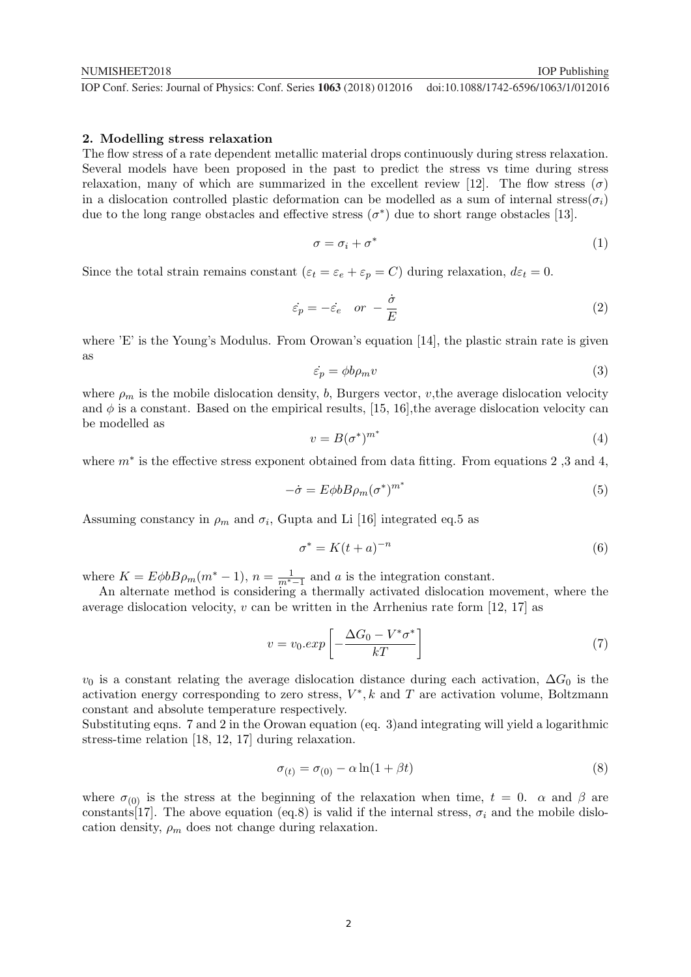#### 2. Modelling stress relaxation

The flow stress of a rate dependent metallic material drops continuously during stress relaxation. Several models have been proposed in the past to predict the stress vs time during stress relaxation, many of which are summarized in the excellent review [12]. The flow stress  $(\sigma)$ in a dislocation controlled plastic deformation can be modelled as a sum of internal stress( $\sigma_i$ ) due to the long range obstacles and effective stress  $(\sigma^*)$  due to short range obstacles [13].

$$
\sigma = \sigma_i + \sigma^* \tag{1}
$$

Since the total strain remains constant  $(\varepsilon_t = \varepsilon_e + \varepsilon_p = C)$  during relaxation,  $d\varepsilon_t = 0$ .

$$
\dot{\varepsilon}_p = -\dot{\varepsilon}_e \quad or \quad -\frac{\dot{\sigma}}{E} \tag{2}
$$

where 'E' is the Young's Modulus. From Orowan's equation [14], the plastic strain rate is given as

$$
\dot{\varepsilon}_p = \phi b \rho_m v \tag{3}
$$

where  $\rho_m$  is the mobile dislocation density, b, Burgers vector, v, the average dislocation velocity and  $\phi$  is a constant. Based on the empirical results, [15, 16], the average dislocation velocity can be modelled as

$$
v = B(\sigma^*)^{m^*} \tag{4}
$$

where  $m^*$  is the effective stress exponent obtained from data fitting. From equations 2,3 and 4,

$$
-\dot{\sigma} = E\phi b B\rho_m (\sigma^*)^{m^*} \tag{5}
$$

Assuming constancy in  $\rho_m$  and  $\sigma_i$ , Gupta and Li [16] integrated eq.5 as

$$
\sigma^* = K(t+a)^{-n} \tag{6}
$$

where  $K = E \phi b B \rho_m (m^* - 1)$ ,  $n = \frac{1}{m^* - 1}$  and a is the integration constant.

An alternate method is considering a thermally activated dislocation movement, where the average dislocation velocity,  $v \text{ can be written in the Arrhenius rate form } [12, 17]$  as

$$
v = v_0 \cdot exp\left[-\frac{\Delta G_0 - V^* \sigma^*}{kT}\right]
$$
\n(7)

 $v_0$  is a constant relating the average dislocation distance during each activation,  $\Delta G_0$  is the activation energy corresponding to zero stress,  $V^*$ , k and T are activation volume, Boltzmann constant and absolute temperature respectively.

Substituting eqns. 7 and 2 in the Orowan equation (eq. 3)and integrating will yield a logarithmic stress-time relation [18, 12, 17] during relaxation.

$$
\sigma_{(t)} = \sigma_{(0)} - \alpha \ln(1 + \beta t) \tag{8}
$$

where  $\sigma_{(0)}$  is the stress at the beginning of the relaxation when time,  $t = 0$ .  $\alpha$  and  $\beta$  are constants [17]. The above equation (eq.8) is valid if the internal stress,  $\sigma_i$  and the mobile dislocation density,  $\rho_m$  does not change during relaxation.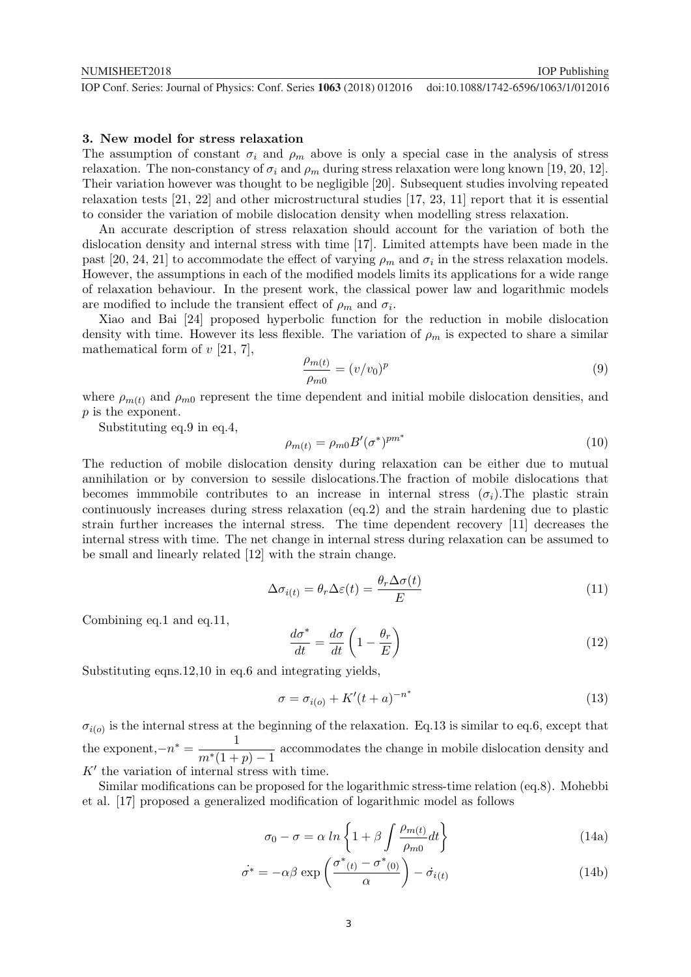#### 3. New model for stress relaxation

The assumption of constant  $\sigma_i$  and  $\rho_m$  above is only a special case in the analysis of stress relaxation. The non-constancy of  $\sigma_i$  and  $\rho_m$  during stress relaxation were long known [19, 20, 12]. Their variation however was thought to be negligible [20]. Subsequent studies involving repeated relaxation tests [21, 22] and other microstructural studies [17, 23, 11] report that it is essential to consider the variation of mobile dislocation density when modelling stress relaxation.

An accurate description of stress relaxation should account for the variation of both the dislocation density and internal stress with time [17]. Limited attempts have been made in the past [20, 24, 21] to accommodate the effect of varying  $\rho_m$  and  $\sigma_i$  in the stress relaxation models. However, the assumptions in each of the modified models limits its applications for a wide range of relaxation behaviour. In the present work, the classical power law and logarithmic models are modified to include the transient effect of  $\rho_m$  and  $\sigma_i$ .

Xiao and Bai [24] proposed hyperbolic function for the reduction in mobile dislocation density with time. However its less flexible. The variation of  $\rho_m$  is expected to share a similar mathematical form of  $v$  [21, 7],

$$
\frac{\rho_{m(t)}}{\rho_{m0}} = (v/v_0)^p \tag{9}
$$

where  $\rho_{m(t)}$  and  $\rho_{m0}$  represent the time dependent and initial mobile dislocation densities, and p is the exponent.

Substituting eq.9 in eq.4,

$$
\rho_{m(t)} = \rho_{m0} B' (\sigma^*)^{pm^*} \tag{10}
$$

The reduction of mobile dislocation density during relaxation can be either due to mutual annihilation or by conversion to sessile dislocations.The fraction of mobile dislocations that becomes immmobile contributes to an increase in internal stress  $(\sigma_i)$ . The plastic strain continuously increases during stress relaxation (eq.2) and the strain hardening due to plastic strain further increases the internal stress. The time dependent recovery [11] decreases the internal stress with time. The net change in internal stress during relaxation can be assumed to be small and linearly related [12] with the strain change.

$$
\Delta \sigma_{i(t)} = \theta_r \Delta \varepsilon(t) = \frac{\theta_r \Delta \sigma(t)}{E}
$$
\n(11)

Combining eq.1 and eq.11,

$$
\frac{d\sigma^*}{dt} = \frac{d\sigma}{dt} \left( 1 - \frac{\theta_r}{E} \right) \tag{12}
$$

Substituting eqns.12,10 in eq.6 and integrating yields,

$$
\sigma = \sigma_{i(o)} + K'(t+a)^{-n^*} \tag{13}
$$

 $\sigma_{i(o)}$  is the internal stress at the beginning of the relaxation. Eq.13 is similar to eq.6, except that the exponent, $-n^* = \frac{1}{n^*}$  $\frac{1}{m*(1+p)-1}$  accommodates the change in mobile dislocation density and  $K'$  the variation of internal stress with time.

Similar modifications can be proposed for the logarithmic stress-time relation (eq.8). Mohebbi et al. [17] proposed a generalized modification of logarithmic model as follows

$$
\sigma_0 - \sigma = \alpha \ln \left\{ 1 + \beta \int \frac{\rho_{m(t)}}{\rho_{m0}} dt \right\} \tag{14a}
$$

$$
\dot{\sigma^*} = -\alpha \beta \exp\left(\frac{\sigma^*(t) - \sigma^*(0)}{\alpha}\right) - \dot{\sigma}_{i(t)} \tag{14b}
$$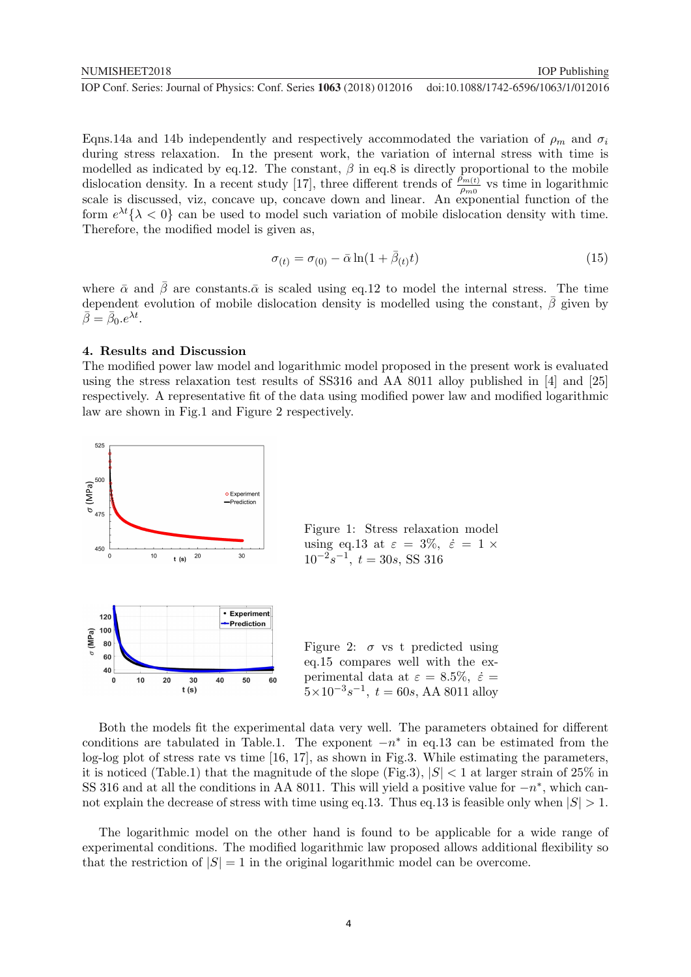Eqns.14a and 14b independently and respectively accommodated the variation of  $\rho_m$  and  $\sigma_i$ during stress relaxation. In the present work, the variation of internal stress with time is modelled as indicated by eq.12. The constant,  $\beta$  in eq.8 is directly proportional to the mobile dislocation density. In a recent study [17], three different trends of  $\frac{\rho_{m(t)}}{\rho_{m0}}$  vs time in logarithmic scale is discussed, viz, concave up, concave down and linear. An exponential function of the form  $e^{\lambda t} \{\lambda < 0\}$  can be used to model such variation of mobile dislocation density with time. Therefore, the modified model is given as,

$$
\sigma_{(t)} = \sigma_{(0)} - \bar{\alpha} \ln(1 + \bar{\beta}_{(t)} t) \tag{15}
$$

where  $\bar{\alpha}$  and  $\bar{\beta}$  are constants. $\bar{\alpha}$  is scaled using eq.12 to model the internal stress. The time dependent evolution of mobile dislocation density is modelled using the constant,  $\beta$  given by  $\bar{\beta} = \bar{\beta}_0 . e^{\lambda t}.$ 

#### 4. Results and Discussion

The modified power law model and logarithmic model proposed in the present work is evaluated using the stress relaxation test results of SS316 and AA 8011 alloy published in [4] and [25] respectively. A representative fit of the data using modified power law and modified logarithmic law are shown in Fig.1 and Figure 2 respectively.



Both the models fit the experimental data very well. The parameters obtained for different conditions are tabulated in Table.1. The exponent  $-n^*$  in eq.13 can be estimated from the log-log plot of stress rate vs time [16, 17], as shown in Fig.3. While estimating the parameters, it is noticed (Table.1) that the magnitude of the slope (Fig.3),  $|S| < 1$  at larger strain of 25% in SS 316 and at all the conditions in AA 8011. This will yield a positive value for  $-n^*$ , which cannot explain the decrease of stress with time using eq.13. Thus eq.13 is feasible only when  $|S| > 1$ .

The logarithmic model on the other hand is found to be applicable for a wide range of experimental conditions. The modified logarithmic law proposed allows additional flexibility so that the restriction of  $|S| = 1$  in the original logarithmic model can be overcome.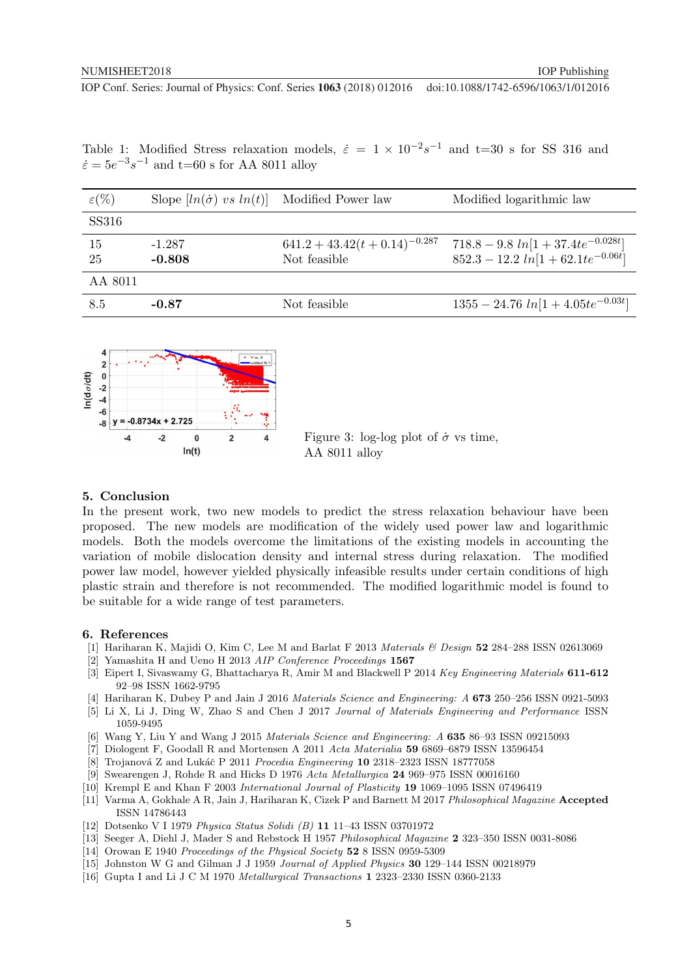| $\varepsilon(\%)$ | Slope $[ln(\dot{\sigma}) \text{ vs } ln(t)]$ Modified Power law |                                    | Modified logarithmic law               |
|-------------------|-----------------------------------------------------------------|------------------------------------|----------------------------------------|
| SS316             |                                                                 |                                    |                                        |
| 15                | $-1.287$                                                        | $641.2 + 43.42(t + 0.14)^{-0.287}$ | $718.8 - 9.8 ln[1 + 37.4te^{-0.028t}]$ |
| 25                | $-0.808$                                                        | Not feasible                       | $852.3 - 12.2 ln[1 + 62.1te^{-0.06t}]$ |
| AA 8011           |                                                                 |                                    |                                        |
| 8.5               | $-0.87$                                                         | Not feasible                       | $1355 - 24.76 ln[1 + 4.05te^{-0.03t}]$ |

Table 1: Modified Stress relaxation models,  $\dot{\varepsilon} = 1 \times 10^{-2} s^{-1}$  and t=30 s for SS 316 and  $\dot{\varepsilon} = 5e^{-3}s^{-1}$  and t=60 s for AA 8011 alloy



Figure 3: log-log plot of  $\dot{\sigma}$  vs time, AA 8011 alloy

#### 5. Conclusion

In the present work, two new models to predict the stress relaxation behaviour have been proposed. The new models are modification of the widely used power law and logarithmic models. Both the models overcome the limitations of the existing models in accounting the variation of mobile dislocation density and internal stress during relaxation. The modified power law model, however yielded physically infeasible results under certain conditions of high plastic strain and therefore is not recommended. The modified logarithmic model is found to be suitable for a wide range of test parameters.

#### 6. References

- [1] Hariharan K, Majidi O, Kim C, Lee M and Barlat F 2013 Materials & Design 52 284–288 ISSN 02613069
- [2] Yamashita H and Ueno H 2013 AIP Conference Proceedings 1567
- [3] Eipert I, Sivaswamy G, Bhattacharya R, Amir M and Blackwell P 2014 Key Engineering Materials 611-612 92–98 ISSN 1662-9795
- [4] Hariharan K, Dubey P and Jain J 2016 Materials Science and Engineering: A 673 250–256 ISSN 0921-5093
- [5] Li X, Li J, Ding W, Zhao S and Chen J 2017 Journal of Materials Engineering and Performance ISSN 1059-9495
- [6] Wang Y, Liu Y and Wang J 2015 Materials Science and Engineering: A 635 86–93 ISSN 09215093
- [7] Diologent F, Goodall R and Mortensen A 2011 Acta Materialia 59 6869–6879 ISSN 13596454
- [8] Trojanová Z and Lukáč P 2011 Procedia Engineering 10 2318–2323 ISSN 18777058
- [9] Swearengen J, Rohde R and Hicks D 1976 Acta Metallurgica 24 969–975 ISSN 00016160
- [10] Krempl E and Khan F 2003 International Journal of Plasticity 19 1069–1095 ISSN 07496419
- [11] Varma A, Gokhale A R, Jain J, Hariharan K, Cizek P and Barnett M 2017 Philosophical Magazine Accepted ISSN 14786443
- [12] Dotsenko V I 1979 Physica Status Solidi (B) 11 11–43 ISSN 03701972
- [13] Seeger A, Diehl J, Mader S and Rebstock H 1957 Philosophical Magazine 2 323–350 ISSN 0031-8086
- [14] Orowan E 1940 Proceedings of the Physical Society 52 8 ISSN 0959-5309
- [15] Johnston W G and Gilman J J 1959 Journal of Applied Physics 30 129–144 ISSN 00218979
- [16] Gupta I and Li J C M 1970 Metallurgical Transactions 1 2323–2330 ISSN 0360-2133